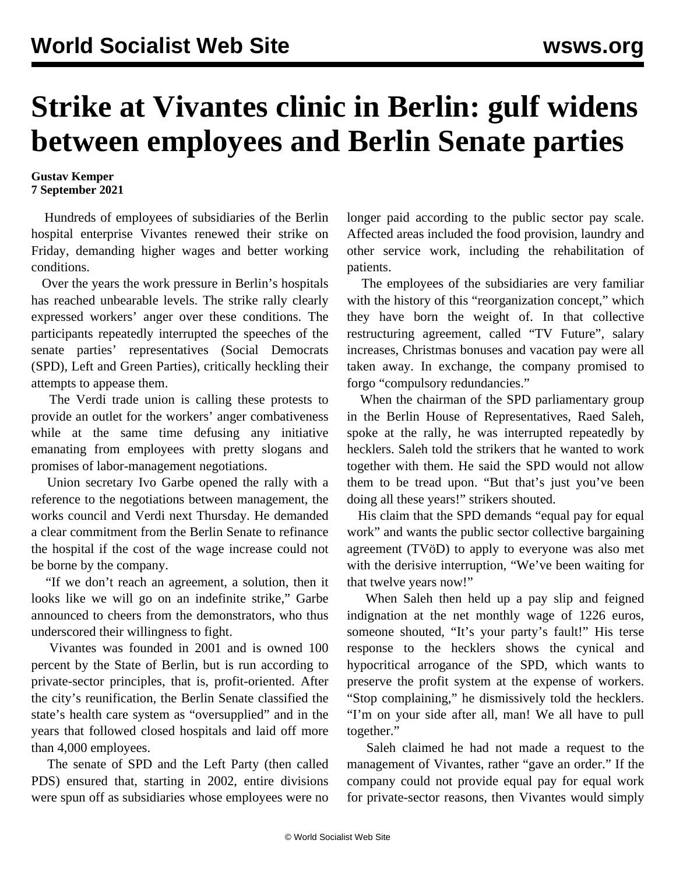## **Strike at Vivantes clinic in Berlin: gulf widens between employees and Berlin Senate parties**

## **Gustav Kemper 7 September 2021**

 Hundreds of employees of subsidiaries of the Berlin hospital enterprise Vivantes renewed their strike on Friday, demanding higher wages and better working conditions.

 Over the years the work pressure in Berlin's hospitals has reached unbearable levels. The strike rally clearly expressed workers' anger over these conditions. The participants repeatedly interrupted the speeches of the senate parties' representatives (Social Democrats (SPD), Left and Green Parties), critically heckling their attempts to appease them.

 The Verdi trade union is calling these protests to provide an outlet for the workers' anger combativeness while at the same time defusing any initiative emanating from employees with pretty slogans and promises of labor-management negotiations.

 Union secretary Ivo Garbe opened the rally with a reference to the negotiations between management, the works council and Verdi next Thursday. He demanded a clear commitment from the Berlin Senate to refinance the hospital if the cost of the wage increase could not be borne by the company.

 "If we don't reach an agreement, a solution, then it looks like we will go on an indefinite strike," Garbe announced to cheers from the demonstrators, who thus underscored their willingness to fight.

 Vivantes was founded in 2001 and is owned 100 percent by the State of Berlin, but is run according to private-sector principles, that is, profit-oriented. After the city's reunification, the Berlin Senate classified the state's health care system as "oversupplied" and in the years that followed closed hospitals and laid off more than 4,000 employees.

 The senate of SPD and the Left Party (then called PDS) ensured that, starting in 2002, entire divisions were spun off as subsidiaries whose employees were no longer paid according to the public sector pay scale. Affected areas included the food provision, laundry and other service work, including the rehabilitation of patients.

 The employees of the subsidiaries are very familiar with the history of this "reorganization concept," which they have born the weight of. In that collective restructuring agreement, called "TV Future", salary increases, Christmas bonuses and vacation pay were all taken away. In exchange, the company promised to forgo "compulsory redundancies."

 When the chairman of the SPD parliamentary group in the Berlin House of Representatives, Raed Saleh, spoke at the rally, he was interrupted repeatedly by hecklers. Saleh told the strikers that he wanted to work together with them. He said the SPD would not allow them to be tread upon. "But that's just you've been doing all these years!" strikers shouted.

 His claim that the SPD demands "equal pay for equal work" and wants the public sector collective bargaining agreement (TVöD) to apply to everyone was also met with the derisive interruption, "We've been waiting for that twelve years now!"

 When Saleh then held up a pay slip and feigned indignation at the net monthly wage of 1226 euros, someone shouted, "It's your party's fault!" His terse response to the hecklers shows the cynical and hypocritical arrogance of the SPD, which wants to preserve the profit system at the expense of workers. "Stop complaining," he dismissively told the hecklers. "I'm on your side after all, man! We all have to pull together."

 Saleh claimed he had not made a request to the management of Vivantes, rather "gave an order." If the company could not provide equal pay for equal work for private-sector reasons, then Vivantes would simply